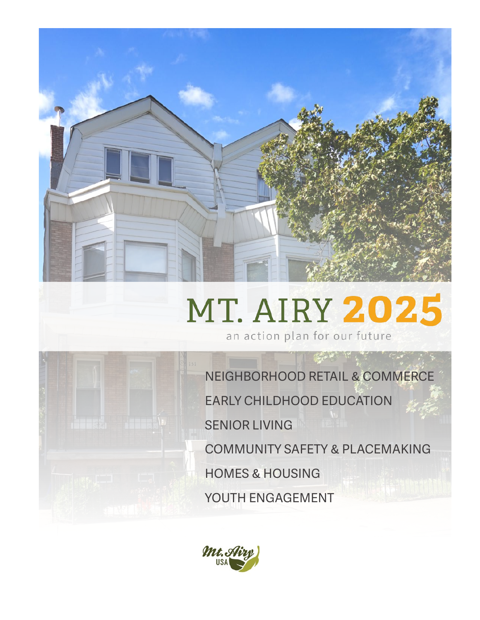

# **MT. AIRY 2025**

an action plan for our future

NEIGHBORHOOD RETAIL & COMMERCE EARLY CHILDHOOD EDUCATION SENIOR LIVING COMMUNITY SAFETY & PLACEMAKING HOMES & HOUSING YOUTH ENGAGEMENT

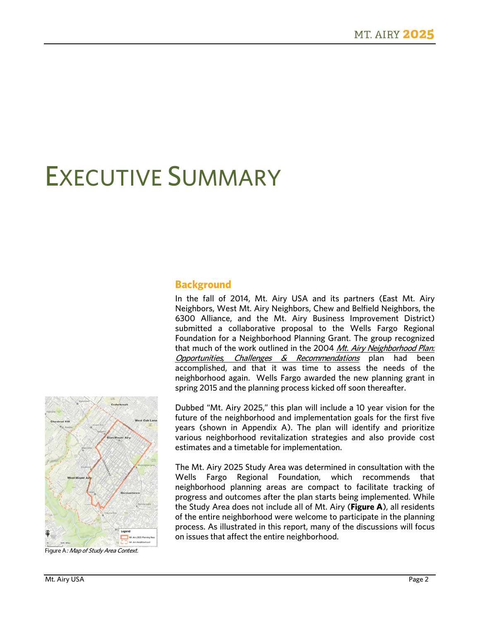## EXECUTIVE SUMMARY

### **Background**

In the fall of 2014, Mt. Airy USA and its partners (East Mt. Airy Neighbors, West Mt. Airy Neighbors, Chew and Belfield Neighbors, the 6300 Alliance, and the Mt. Airy Business Improvement District) submitted a collaborative proposal to the Wells Fargo Regional Foundation for a Neighborhood Planning Grant. The group recognized that much of the work outlined in the 2004 Mt. Airy Neighborhood Plan: Opportunities, Challenges  $\&$  Recommendations plan had been accomplished, and that it was time to assess the needs of the neighborhood again. Wells Fargo awarded the new planning grant in spring 2015 and the planning process kicked off soon thereafter.



Figure A: Map of Study Area Context.

Dubbed "Mt. Airy 2025," this plan will include a 10 year vision for the future of the neighborhood and implementation goals for the first five years (shown in Appendix A). The plan will identify and prioritize various neighborhood revitalization strategies and also provide cost estimates and a timetable for implementation.

The Mt. Airy 2025 Study Area was determined in consultation with the Wells Fargo Regional Foundation, which recommends that neighborhood planning areas are compact to facilitate tracking of progress and outcomes after the plan starts being implemented. While the Study Area does not include all of Mt. Airy (**Figure A**), all residents of the entire neighborhood were welcome to participate in the planning process. As illustrated in this report, many of the discussions will focus on issues that affect the entire neighborhood.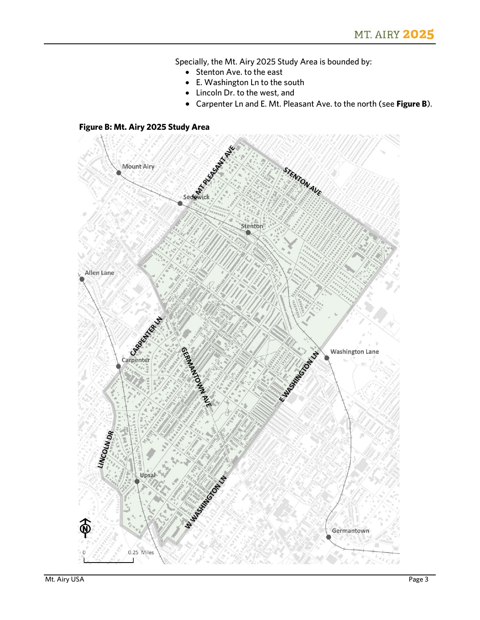Specially, the Mt. Airy 2025 Study Area is bounded by:

- Stenton Ave. to the east
- E. Washington Ln to the south
- Lincoln Dr. to the west, and
- Carpenter Ln and E. Mt. Pleasant Ave. to the north (see **Figure B**).

#### **Figure B: Mt. Airy 2025 Study Area**

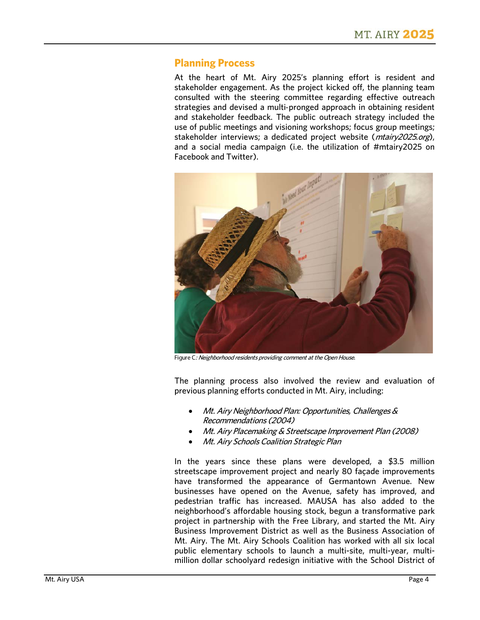#### **Planning Process**

At the heart of Mt. Airy 2025's planning effort is resident and stakeholder engagement. As the project kicked off, the planning team consulted with the steering committee regarding effective outreach strategies and devised a multi‐pronged approach in obtaining resident and stakeholder feedback. The public outreach strategy included the use of public meetings and visioning workshops; focus group meetings; stakeholder interviews; a dedicated project website (*mtairy2025.org*), and a social media campaign (i.e. the utilization of #mtairy2025 on Facebook and Twitter).



Figure C: Neighborhood residents providing comment at the Open House.

The planning process also involved the review and evaluation of previous planning efforts conducted in Mt. Airy, including:

- Mt. Airy Neighborhood Plan: Opportunities, Challenges & Recommendations (2004)
- Mt. Airy Placemaking & Streetscape Improvement Plan (2008)
- Mt. Airy Schools Coalition Strategic Plan

In the years since these plans were developed, a \$3.5 million streetscape improvement project and nearly 80 façade improvements have transformed the appearance of Germantown Avenue. New businesses have opened on the Avenue, safety has improved, and pedestrian traffic has increased. MAUSA has also added to the neighborhood's affordable housing stock, begun a transformative park project in partnership with the Free Library, and started the Mt. Airy Business Improvement District as well as the Business Association of Mt. Airy. The Mt. Airy Schools Coalition has worked with all six local public elementary schools to launch a multi-site, multi-year, multimillion dollar schoolyard redesign initiative with the School District of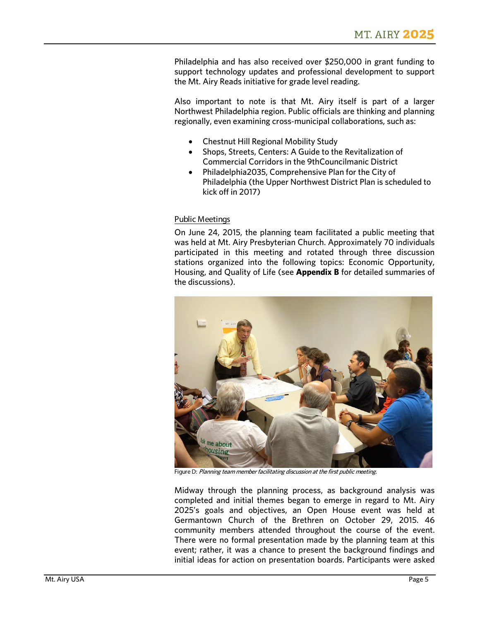Philadelphia and has also received over \$250,000 in grant funding to support technology updates and professional development to support the Mt. Airy Reads initiative for grade level reading.

Also important to note is that Mt. Airy itself is part of a larger Northwest Philadelphia region. Public officials are thinking and planning regionally, even examining cross-municipal collaborations, such as:

- Chestnut Hill Regional Mobility Study
- Shops, Streets, Centers: A Guide to the Revitalization of Commercial Corridors in the 9thCouncilmanic District
- Philadelphia2035, Comprehensive Plan for the City of Philadelphia (the Upper Northwest District Plan is scheduled to kick off in 2017)

#### Public Meetings

On June 24, 2015, the planning team facilitated a public meeting that was held at Mt. Airy Presbyterian Church. Approximately 70 individuals participated in this meeting and rotated through three discussion stations organized into the following topics: Economic Opportunity, Housing, and Quality of Life (see **Appendix B** for detailed summaries of the discussions).



Figure D: Planning team member facilitating discussion at the first public meeting.

Midway through the planning process, as background analysis was completed and initial themes began to emerge in regard to Mt. Airy 2025's goals and objectives, an Open House event was held at Germantown Church of the Brethren on October 29, 2015. 46 community members attended throughout the course of the event. There were no formal presentation made by the planning team at this event; rather, it was a chance to present the background findings and initial ideas for action on presentation boards. Participants were asked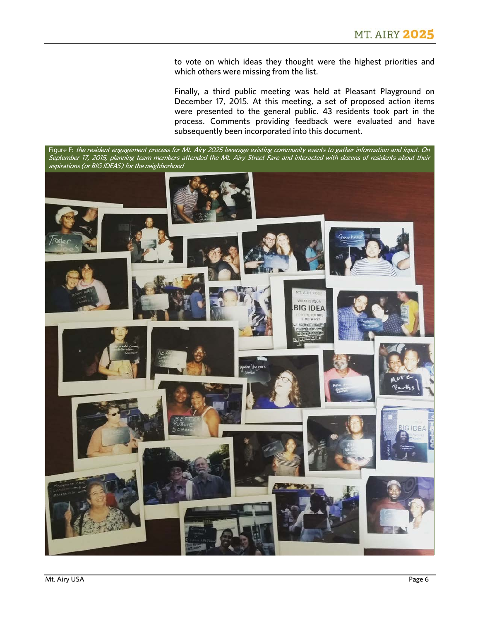to vote on which ideas they thought were the highest priorities and which others were missing from the list.

Finally, a third public meeting was held at Pleasant Playground on December 17, 2015. At this meeting, a set of proposed action items were presented to the general public. 43 residents took part in the process. Comments providing feedback were evaluated and have subsequently been incorporated into this document.